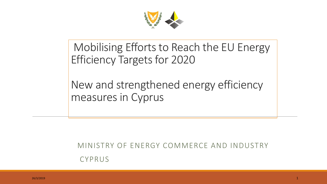

### Mobilising Efforts to Reach the EU Energy Efficiency Targets for 2020

#### New and strengthened energy efficiency measures in Cyprus

MINISTRY OF ENERGY COMMERCE AND INDUSTRY CYPRUS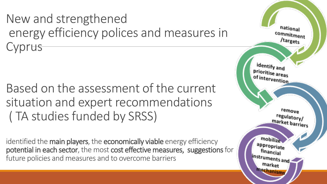New and strengthened energy efficiency polices and measures in **Cyprus** 

Based on the assessment of the current situation and expert recommendations ( TA studies funded by SRSS)

identified the main players, the economically viable energy efficiency potential in each sector, the most cost effective measures, suggestions for future policies and measures and to overcome barriers

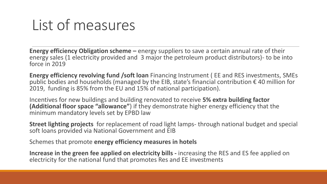# List of measures

**Energy efficiency Obligation scheme –** energy suppliers to save a certain annual rate of their energy sales (1 electricity provided and 3 major the petroleum product distributors)- to be into force in 2019

**Energy efficiency revolving fund /soft loan** Financing Instrument ( EE and RES investments, SMEs public bodies and households (managed by the EIB, state's financial contribution € 40 million for 2019, funding is 85% from the EU and 15% of national participation).

Incentives for new buildings and building renovated to receive **5% extra building factor (Additional floor space "allowance"**) if they demonstrate higher energy efficiency that the minimum mandatory levels set by EPBD law

**Street lighting projects** for replacement of road light lamps- through national budget and special soft loans provided via National Government and EIB

Schemes that promote **energy efficiency measures in hotels** 

**Increase in the green fee applied on electricity bills -** increasing the RES and ES fee applied on electricity for the national fund that promotes Res and EE investments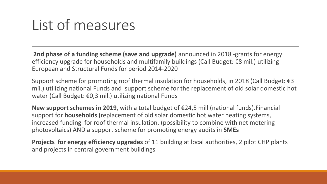## List of measures

**2nd phase of a funding scheme (save and upgrade)** announced in 2018 -grants for energy efficiency upgrade for households and multifamily buildings (Call Budget: €8 mil.) utilizing European and Structural Funds for period 2014-2020

Support scheme for promoting roof thermal insulation for households, in 2018 (Call Budget: €3 mil.) utilizing national Funds and support scheme for the replacement of old solar domestic hot water (Call Budget: €0,3 mil.) utilizing national Funds

**New support schemes in 2019**, with a total budget of €24,5 mill (national funds).Financial support for **households** (replacement of old solar domestic hot water heating systems, increased funding for roof thermal insulation, (possibility to combine with net metering photovoltaics) AND a support scheme for promoting energy audits in **SMEs**

**Projects for energy efficiency upgrades** of 11 building at local authorities, 2 pilot CHP plants and projects in central government buildings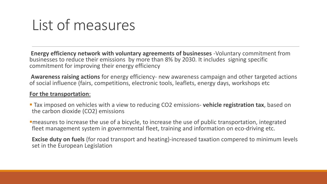# List of measures

**Energy efficiency network with voluntary agreements of businesses** -Voluntary commitment from businesses to reduce their emissions by more than 8% by 2030. It includes signing specific commitment for improving their energy efficiency

**Awareness raising actions** for energy efficiency- new awareness campaign and other targeted actions of social influence (fairs, competitions, electronic tools, leaflets, energy days, workshops etc

#### **For the transportation**:

 Tax imposed on vehicles with a view to reducing CO2 emissions- **vehicle registration tax**, based on the carbon dioxide (CO2) emissions

measures to increase the use of a bicycle, to increase the use of public transportation, integrated fleet management system in governmental fleet, training and information on eco-driving etc.

**Excise duty on fuels** (for road transport and heating)-increased taxation compered to minimum levels set in the European Legislation